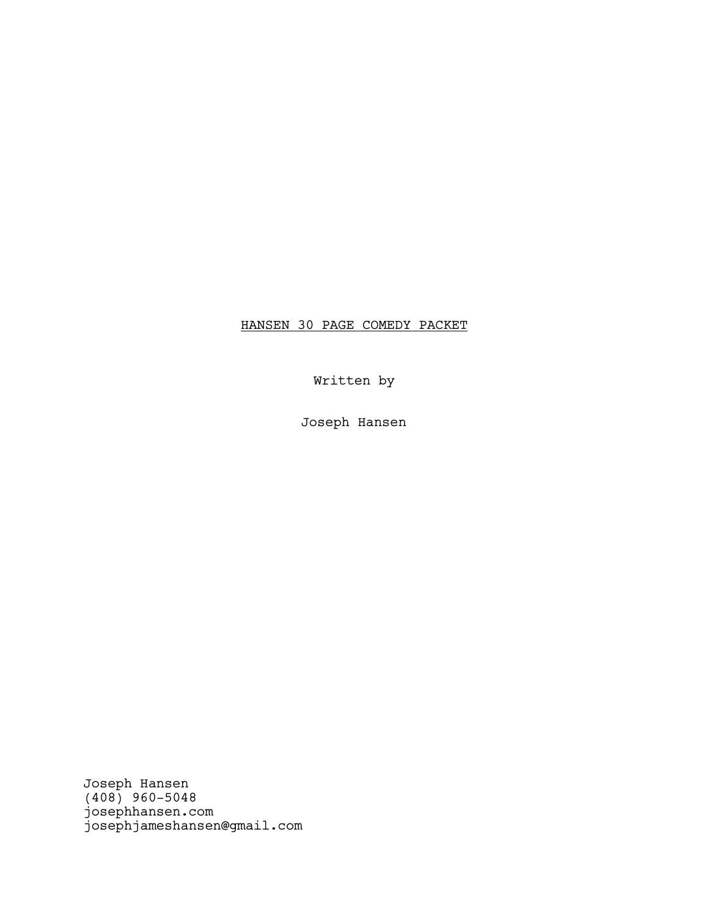### HANSEN 30 PAGE COMEDY PACKET

Written by

Joseph Hansen

Joseph Hansen (408) 960-5048 josephhansen.com josephjameshansen@gmail.com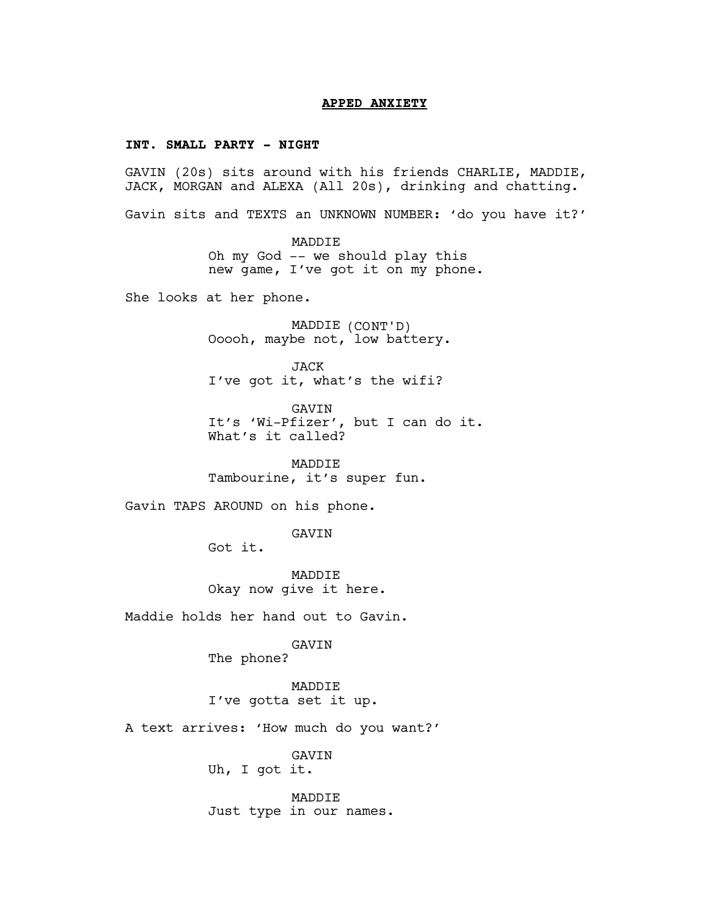### APPED ANXIETY

#### INT. SMALL PARTY - NIGHT

GAVIN (20s) sits around with his friends CHARLIE, MADDIE, JACK, MORGAN and ALEXA (All 20s), drinking and chatting. Gavin sits and TEXTS an UNKNOWN NUMBER: 'do you have it?' MADDIE Oh my God -- we should play this new game, I've got it on my phone. She looks at her phone. MADDIE (CONT'D) Ooooh, maybe not, low battery. JACK I've got it, what's the wifi? GAVIN It's 'Wi-Pfizer', but I can do it. What's it called? MADDIE Tambourine, it's super fun. Gavin TAPS AROUND on his phone. GAVIN Got it.

MADDIE Okay now give it here.

Maddie holds her hand out to Gavin.

GAVIN

The phone?

MADDIE I've gotta set it up.

A text arrives: 'How much do you want?'

GAVIN

Uh, I got it.

MADDIE Just type in our names.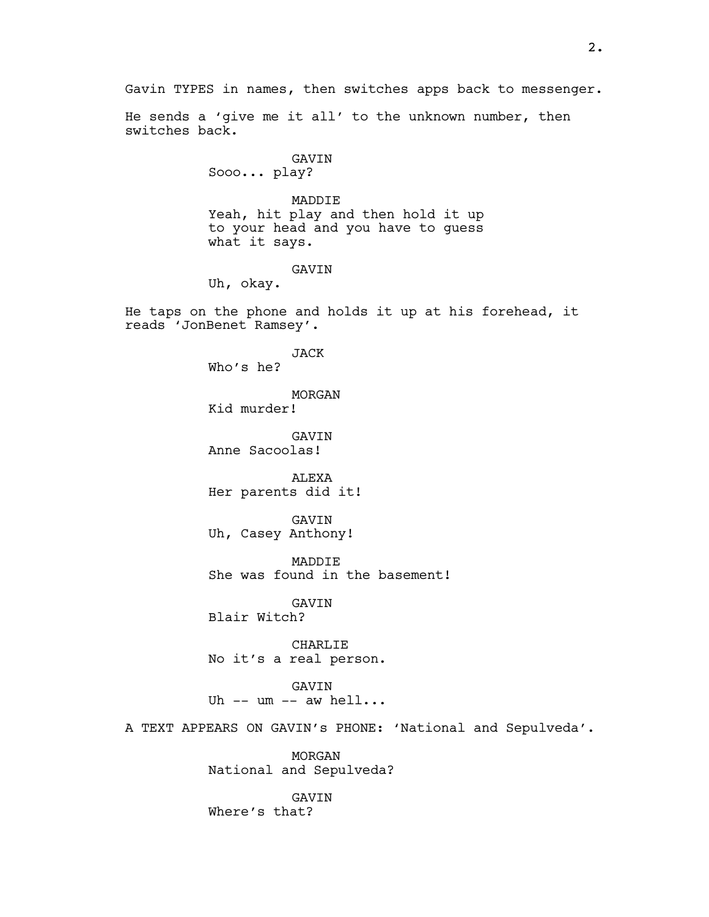Gavin TYPES in names, then switches apps back to messenger.

He sends a 'give me it all' to the unknown number, then switches back.

> GAVIN Sooo... play?

MADDIE Yeah, hit play and then hold it up to your head and you have to guess what it says.

### GAVIN

Uh, okay.

He taps on the phone and holds it up at his forehead, it reads 'JonBenet Ramsey'.

> JACK Who's he?

MORGAN Kid murder!

GAVIN Anne Sacoolas!

ALEXA Her parents did it!

GAVIN Uh, Casey Anthony!

MADDIE She was found in the basement!

GAVIN

Blair Witch?

CHARLIE No it's a real person.

GAVIN Uh  $--$  um  $--$  aw hell...

A TEXT APPEARS ON GAVIN's PHONE: 'National and Sepulveda'.

MORGAN National and Sepulveda?

GAVIN Where's that?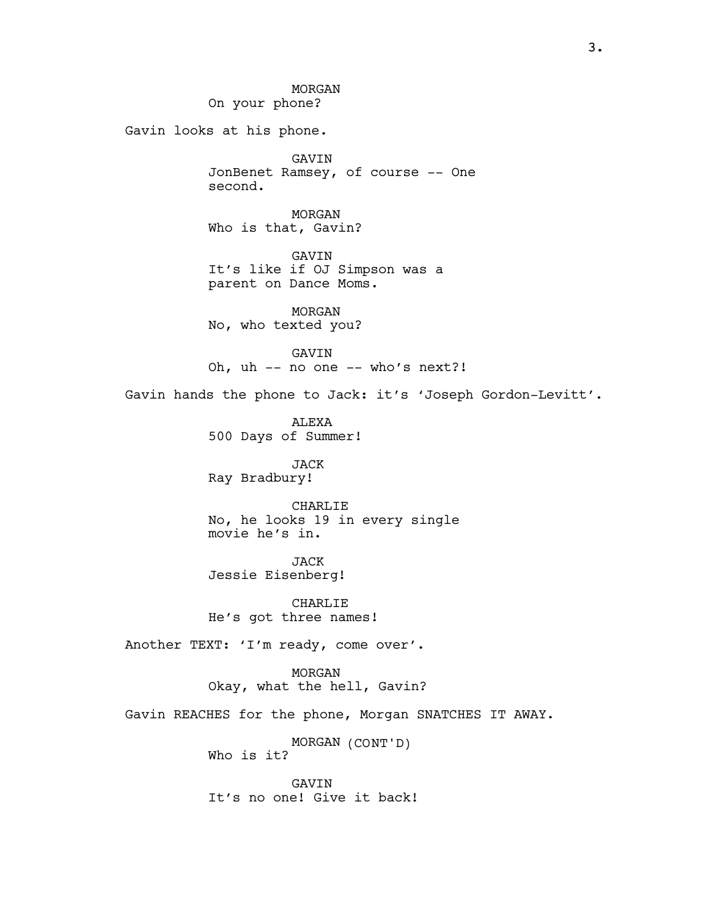MORGAN On your phone? Gavin looks at his phone. GAVIN JonBenet Ramsey, of course -- One second. MORGAN Who is that, Gavin? GAVIN It's like if OJ Simpson was a parent on Dance Moms. MORGAN No, who texted you? GAVIN Oh, uh -- no one -- who's next?! Gavin hands the phone to Jack: it's 'Joseph Gordon-Levitt'. ALEXA 500 Days of Summer! JACK Ray Bradbury! CHARLIE No, he looks 19 in every single movie he's in. JACK Jessie Eisenberg! CHARLIE He's got three names! Another TEXT: 'I'm ready, come over'. MORGAN Okay, what the hell, Gavin? Gavin REACHES for the phone, Morgan SNATCHES IT AWAY. MORGAN (CONT'D) Who is it? GAVIN It's no one! Give it back!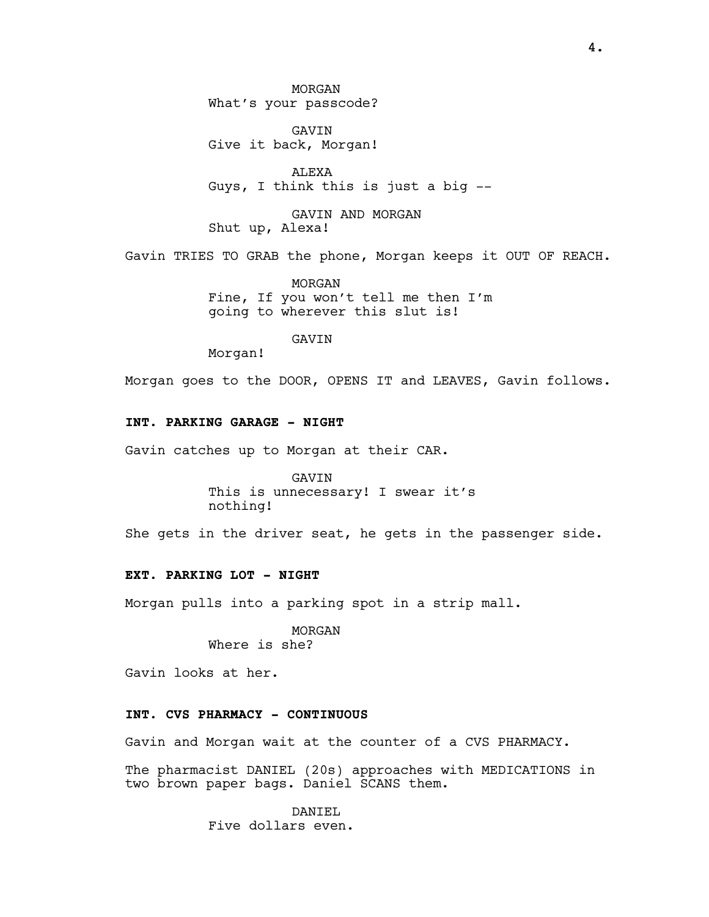MORGAN What's your passcode?

GAVIN Give it back, Morgan!

ALEXA Guys, I think this is just a big --

GAVIN AND MORGAN Shut up, Alexa!

Gavin TRIES TO GRAB the phone, Morgan keeps it OUT OF REACH.

MORGAN Fine, If you won't tell me then I'm going to wherever this slut is!

GAVIN

Morgan!

Morgan goes to the DOOR, OPENS IT and LEAVES, Gavin follows.

### INT. PARKING GARAGE - NIGHT

Gavin catches up to Morgan at their CAR.

GAVIN This is unnecessary! I swear it's

nothing!

She gets in the driver seat, he gets in the passenger side.

### EXT. PARKING LOT - NIGHT

Morgan pulls into a parking spot in a strip mall.

MORGAN Where is she?

Gavin looks at her.

## INT. CVS PHARMACY - CONTINUOUS

Gavin and Morgan wait at the counter of a CVS PHARMACY.

The pharmacist DANIEL (20s) approaches with MEDICATIONS in two brown paper bags. Daniel SCANS them.

> DANTEL. Five dollars even.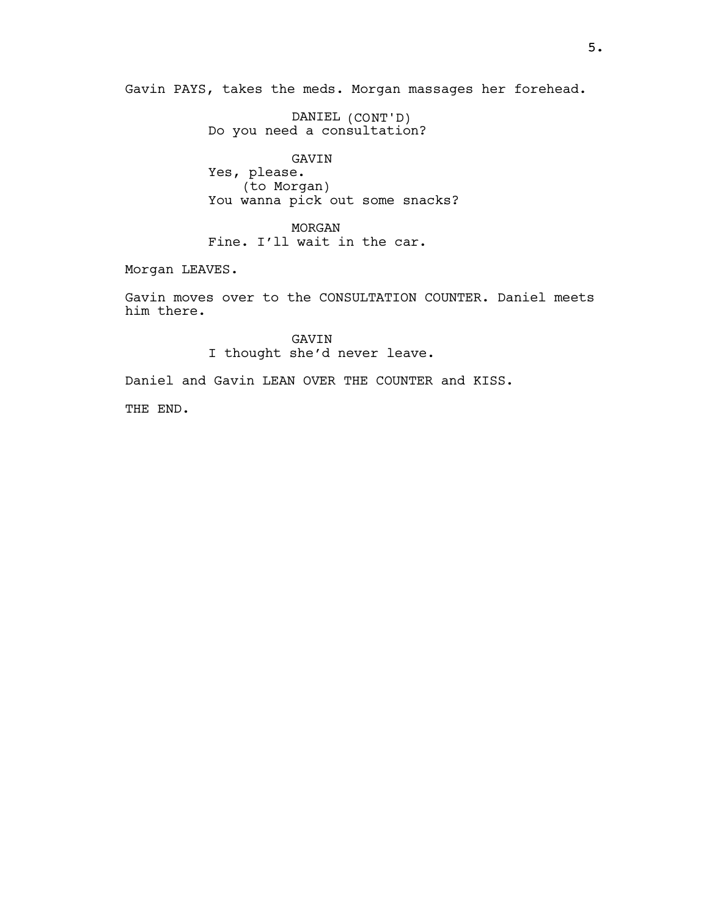Gavin PAYS, takes the meds. Morgan massages her forehead.

DANIEL (CONT'D) Do you need a consultation?

GAVIN Yes, please. (to Morgan) You wanna pick out some snacks?

MORGAN Fine. I'll wait in the car.

Morgan LEAVES.

Gavin moves over to the CONSULTATION COUNTER. Daniel meets him there.

> GAVIN I thought she'd never leave.

Daniel and Gavin LEAN OVER THE COUNTER and KISS.

THE END.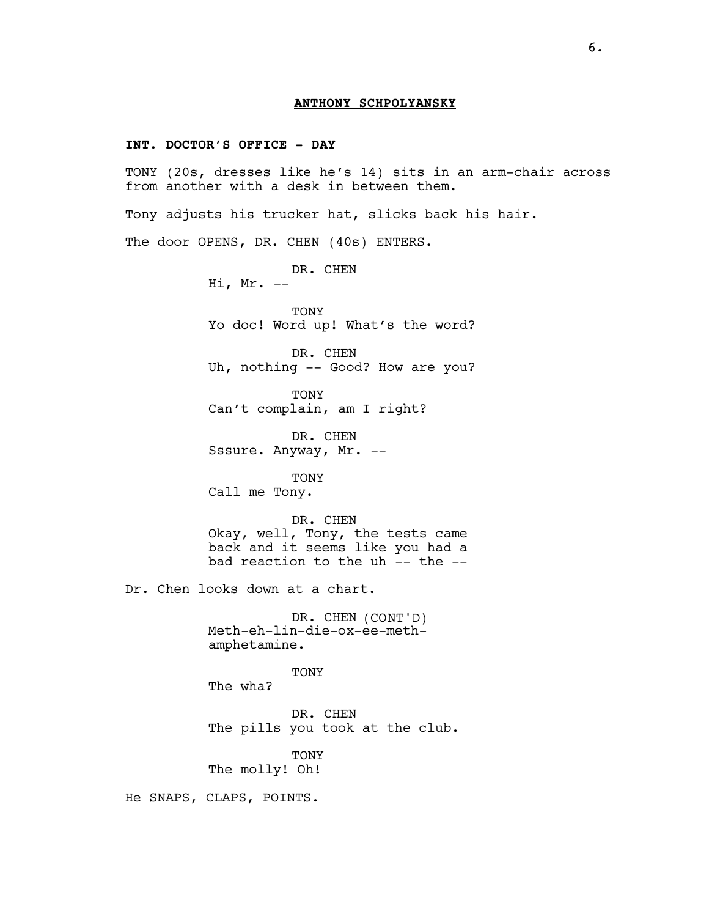### ANTHONY SCHPOLYANSKY

#### INT. DOCTOR'S OFFICE - DAY

TONY (20s, dresses like he's 14) sits in an arm-chair across from another with a desk in between them.

Tony adjusts his trucker hat, slicks back his hair.

The door OPENS, DR. CHEN (40s) ENTERS.

DR. CHEN Hi, Mr. --

**TONY** Yo doc! Word up! What's the word?

DR. CHEN Uh, nothing -- Good? How are you?

TONY Can't complain, am I right?

DR. CHEN Sssure. Anyway, Mr. --

TONY Call me Tony.

DR. CHEN Okay, well, Tony, the tests came back and it seems like you had a bad reaction to the uh -- the --

Dr. Chen looks down at a chart.

DR. CHEN (CONT'D) Meth-eh-lin-die-ox-ee-methamphetamine.

TONY

The wha?

DR. CHEN The pills you took at the club.

TONY The molly! Oh!

He SNAPS, CLAPS, POINTS.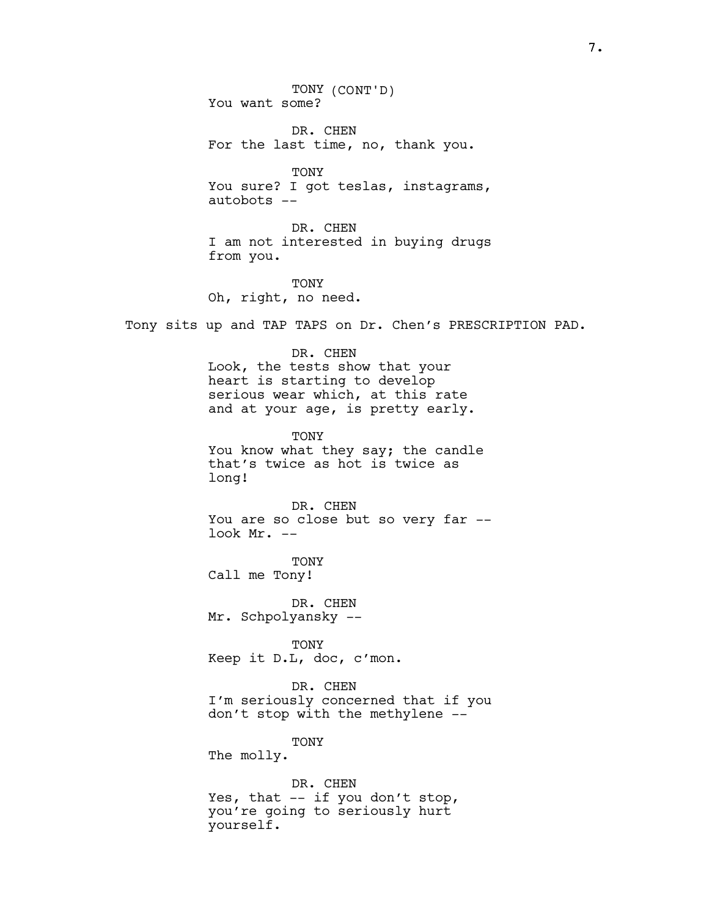TONY (CONT'D) You want some?

DR. CHEN For the last time, no, thank you.

TONY You sure? I got teslas, instagrams, autobots --

DR. CHEN I am not interested in buying drugs from you.

TONY Oh, right, no need.

Tony sits up and TAP TAPS on Dr. Chen's PRESCRIPTION PAD.

DR. CHEN Look, the tests show that your heart is starting to develop serious wear which, at this rate and at your age, is pretty early.

TONY You know what they say; the candle that's twice as hot is twice as long!

DR. CHEN You are so close but so very far -look Mr. --

TONY Call me Tony!

DR. CHEN Mr. Schpolyansky --

TONY Keep it D.L, doc, c'mon.

DR. CHEN I'm seriously concerned that if you don't stop with the methylene --

TONY

The molly.

DR. CHEN Yes, that -- if you don't stop, you're going to seriously hurt yourself.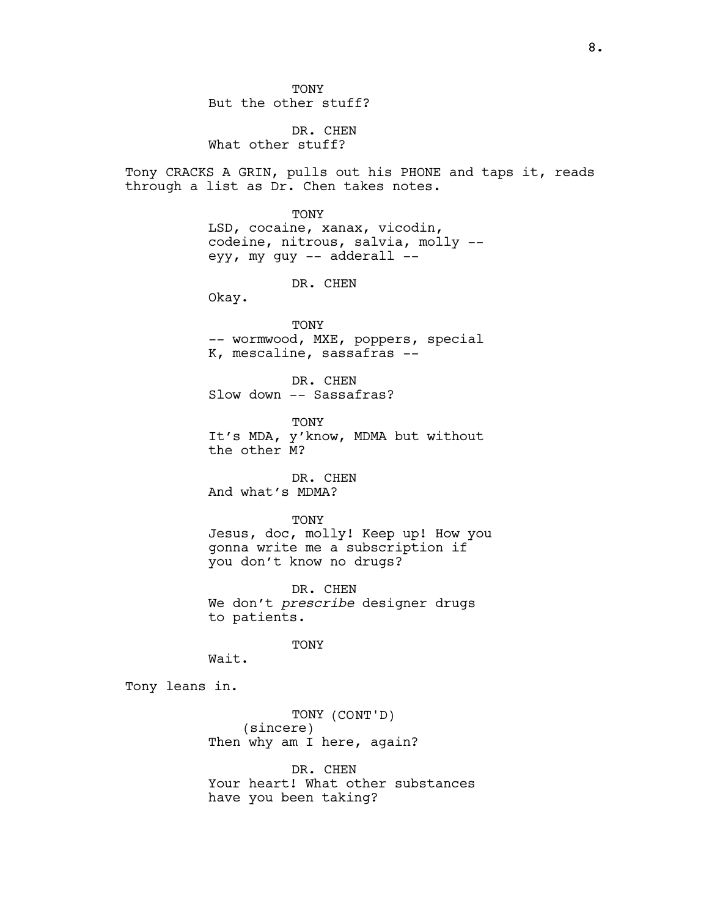**TONY** But the other stuff?

DR. CHEN What other stuff?

Tony CRACKS A GRIN, pulls out his PHONE and taps it, reads through a list as Dr. Chen takes notes.

> **TONY** LSD, cocaine, xanax, vicodin, codeine, nitrous, salvia, molly - eyy, my guy  $--$  adderall  $--$

> > DR. CHEN

Okay.

**TONY** -- wormwood, MXE, poppers, special K, mescaline, sassafras --

DR. CHEN Slow down -- Sassafras?

**TONY** It's MDA, y'know, MDMA but without the other M?

DR. CHEN And what's MDMA?

**TONY** Jesus, doc, molly! Keep up! How you gonna write me a subscription if you don't know no drugs?

DR. CHEN We don't prescribe designer drugs to patients.

**TONY** 

Wait.

Tony leans in.

TONY (CONT'D) (sincere) Then why am I here, again?

DR. CHEN Your heart! What other substances have you been taking?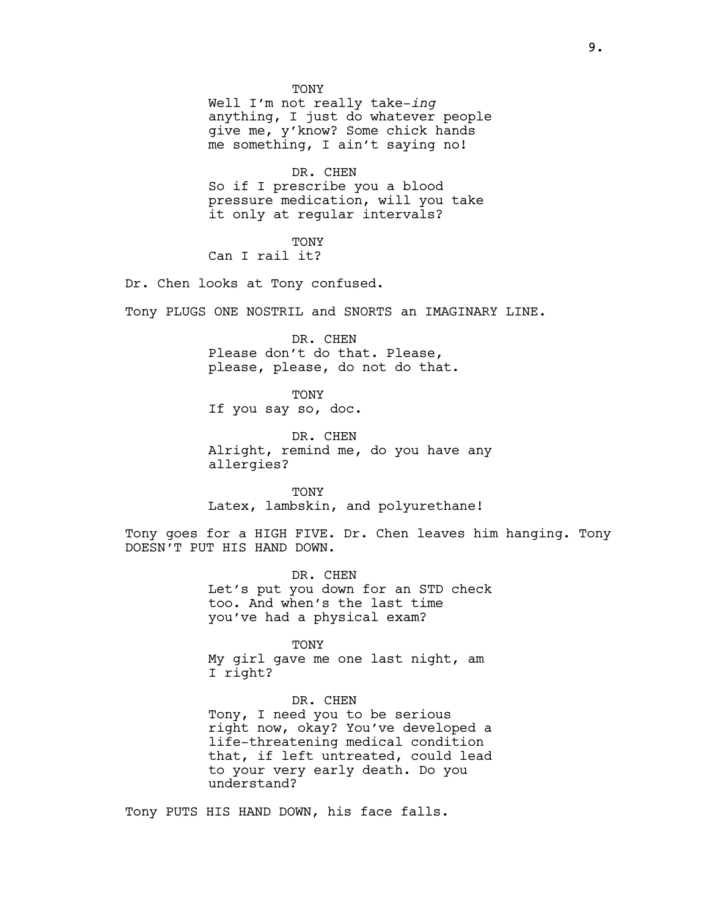**TONY** Well I'm not really take-ing anything, I just do whatever people give me, y'know? Some chick hands me something, I ain't saying no!

DR. CHEN

So if I prescribe you a blood pressure medication, will you take it only at regular intervals?

**TONY** 

Can I rail it?

Dr. Chen looks at Tony confused.

Tony PLUGS ONE NOSTRIL and SNORTS an IMAGINARY LINE.

DR. CHEN Please don't do that. Please, please, please, do not do that.

TONY If you say so, doc.

DR. CHEN Alright, remind me, do you have any allergies?

TONY Latex, lambskin, and polyurethane!

Tony goes for a HIGH FIVE. Dr. Chen leaves him hanging. Tony DOESN'T PUT HIS HAND DOWN.

> DR. CHEN Let's put you down for an STD check too. And when's the last time you've had a physical exam?

TONY My girl gave me one last night, am I right?

DR. CHEN

Tony, I need you to be serious right now, okay? You've developed a life-threatening medical condition that, if left untreated, could lead to your very early death. Do you understand?

Tony PUTS HIS HAND DOWN, his face falls.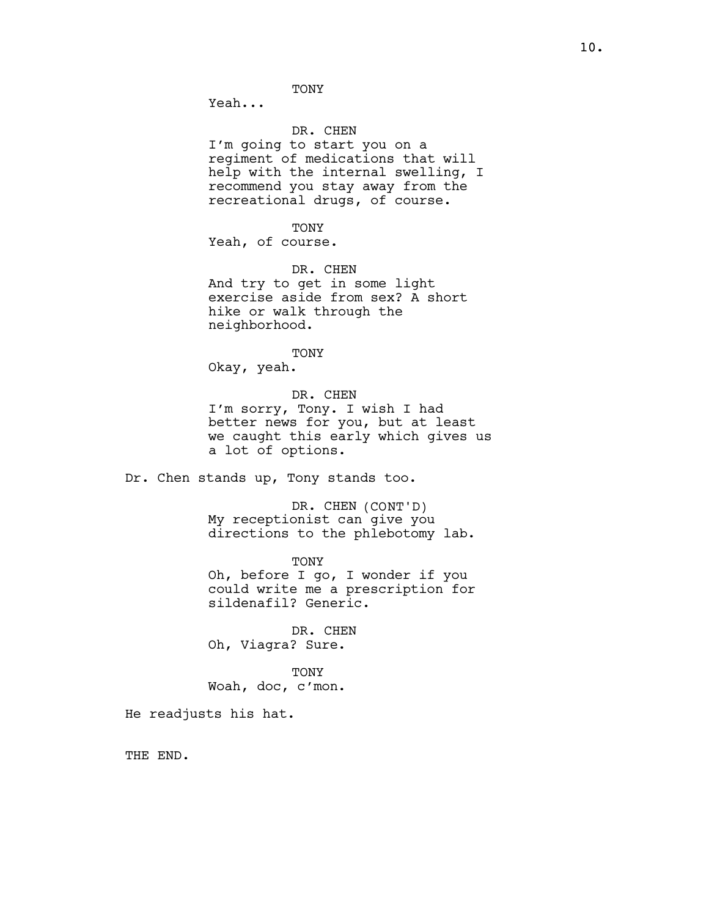**TONY** 

Yeah...

### DR. CHEN

I'm going to start you on a regiment of medications that will help with the internal swelling, I recommend you stay away from the recreational drugs, of course.

#### **TONY**

Yeah, of course.

#### DR. CHEN

And try to get in some light exercise aside from sex? A short hike or walk through the neighborhood.

# **TONY**

Okay, yeah.

### DR. CHEN

I'm sorry, Tony. I wish I had better news for you, but at least we caught this early which gives us a lot of options.

Dr. Chen stands up, Tony stands too.

### DR. CHEN (CONT'D)

My receptionist can give you directions to the phlebotomy lab.

TONY Oh, before I go, I wonder if you could write me a prescription for sildenafil? Generic.

DR. CHEN Oh, Viagra? Sure.

TONY Woah, doc, c'mon.

He readjusts his hat.

THE END.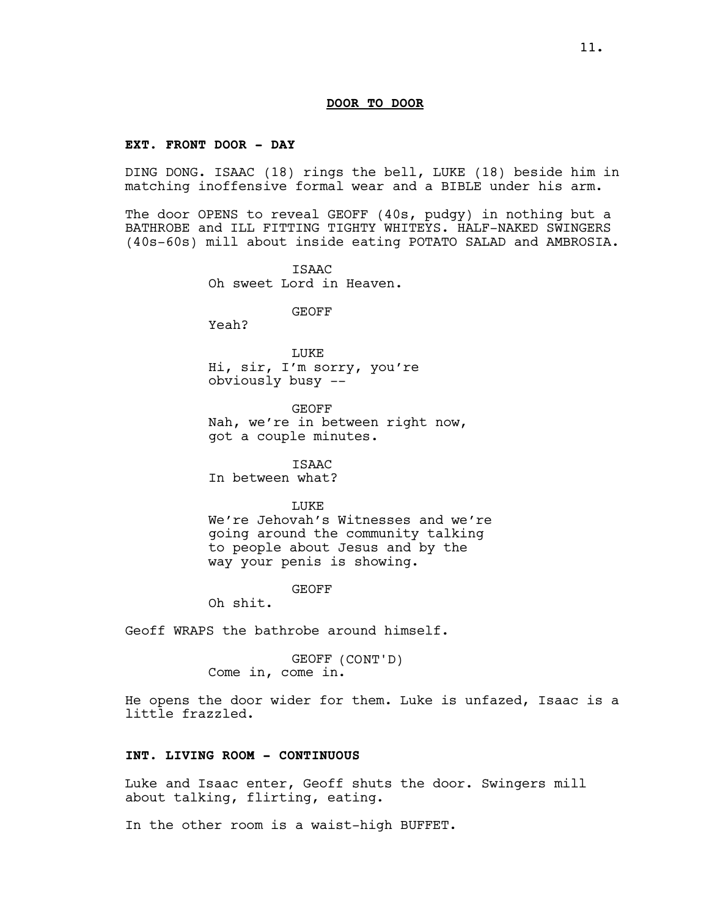### DOOR TO DOOR

### EXT. FRONT DOOR - DAY

DING DONG. ISAAC (18) rings the bell, LUKE (18) beside him in matching inoffensive formal wear and a BIBLE under his arm.

The door OPENS to reveal GEOFF (40s, pudgy) in nothing but a BATHROBE and ILL FITTING TIGHTY WHITEYS. HALF-NAKED SWINGERS (40s-60s) mill about inside eating POTATO SALAD and AMBROSIA.

> ISAAC Oh sweet Lord in Heaven.

> > GEOFF

Yeah?

LUKE Hi, sir, I'm sorry, you're obviously busy --

GEOFF Nah, we're in between right now, got a couple minutes.

ISAAC In between what?

**LUKE** 

We're Jehovah's Witnesses and we're going around the community talking to people about Jesus and by the way your penis is showing.

GEOFF

Oh shit.

Geoff WRAPS the bathrobe around himself.

GEOFF (CONT'D) Come in, come in.

He opens the door wider for them. Luke is unfazed, Isaac is a little frazzled.

### INT. LIVING ROOM - CONTINUOUS

Luke and Isaac enter, Geoff shuts the door. Swingers mill about talking, flirting, eating.

In the other room is a waist-high BUFFET.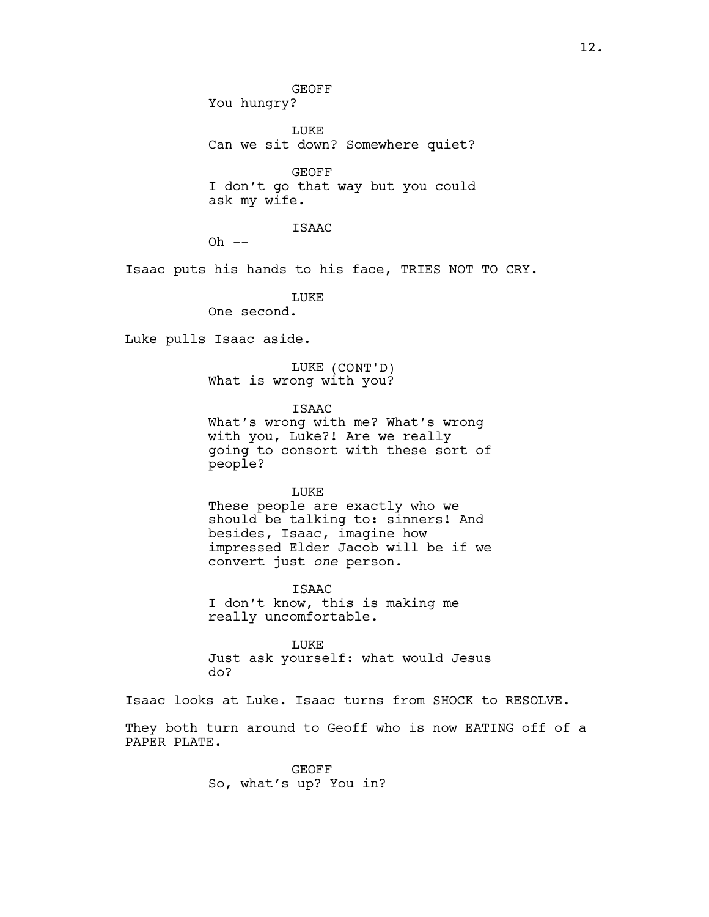GEOFF

You hungry?

LUKE Can we sit down? Somewhere quiet?

GEOFF I don't go that way but you could ask my wife.

ISAAC

 $Oh$   $--$ 

Isaac puts his hands to his face, TRIES NOT TO CRY.

**LUKE** 

One second.

Luke pulls Isaac aside.

LUKE (CONT'D) What is wrong with you?

ISAAC

What's wrong with me? What's wrong with you, Luke?! Are we really going to consort with these sort of people?

LUKE

These people are exactly who we should be talking to: sinners! And besides, Isaac, imagine how impressed Elder Jacob will be if we convert just one person.

ISAAC I don't know, this is making me really uncomfortable.

LUKE Just ask yourself: what would Jesus do?

Isaac looks at Luke. Isaac turns from SHOCK to RESOLVE.

They both turn around to Geoff who is now EATING off of a PAPER PLATE.

> GEOFF So, what's up? You in?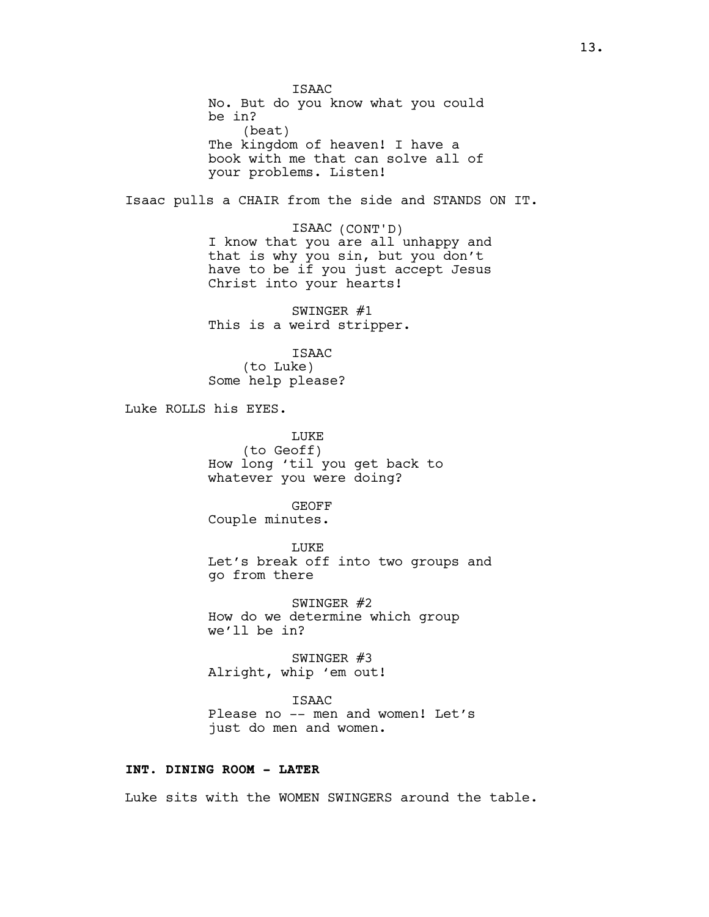ISAAC No. But do you know what you could be in? (beat) The kingdom of heaven! I have a book with me that can solve all of your problems. Listen!

Isaac pulls a CHAIR from the side and STANDS ON IT.

ISAAC (CONT'D) I know that you are all unhappy and that is why you sin, but you don't have to be if you just accept Jesus Christ into your hearts!

SWINGER #1 This is a weird stripper.

ISAAC (to Luke) Some help please?

Luke ROLLS his EYES.

LUKE (to Geoff) How long 'til you get back to whatever you were doing?

GEOFF Couple minutes.

LUKE Let's break off into two groups and go from there

SWINGER #2 How do we determine which group we'll be in?

SWINGER #3 Alright, whip 'em out!

ISAAC Please no -- men and women! Let's just do men and women.

### INT. DINING ROOM - LATER

Luke sits with the WOMEN SWINGERS around the table.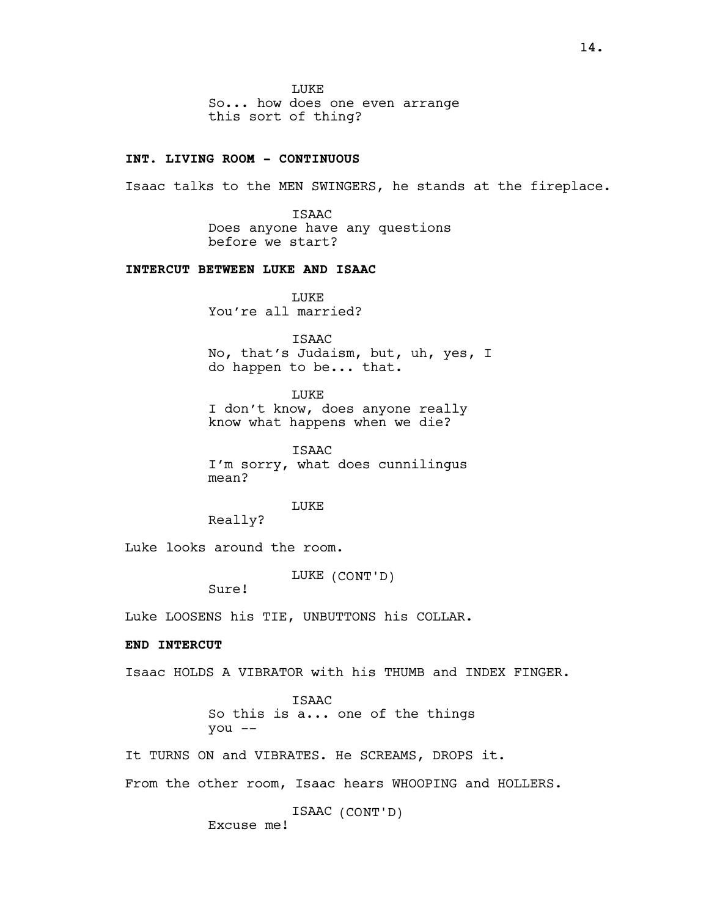LUKE So... how does one even arrange this sort of thing?

### INT. LIVING ROOM - CONTINUOUS

Isaac talks to the MEN SWINGERS, he stands at the fireplace.

ISAAC Does anyone have any questions before we start?

### INTERCUT BETWEEN LUKE AND ISAAC

**LUKE** You're all married?

ISAAC No, that's Judaism, but, uh, yes, I do happen to be... that.

LUKE I don't know, does anyone really know what happens when we die?

ISAAC I'm sorry, what does cunnilingus mean?

LUKE

Really?

Luke looks around the room.

LUKE (CONT'D)

Sure!

Luke LOOSENS his TIE, UNBUTTONS his COLLAR.

### END INTERCUT

Isaac HOLDS A VIBRATOR with his THUMB and INDEX FINGER.

ISAAC So this is a... one of the things you --

It TURNS ON and VIBRATES. He SCREAMS, DROPS it.

From the other room, Isaac hears WHOOPING and HOLLERS.

ISAAC (CONT'D) Excuse me!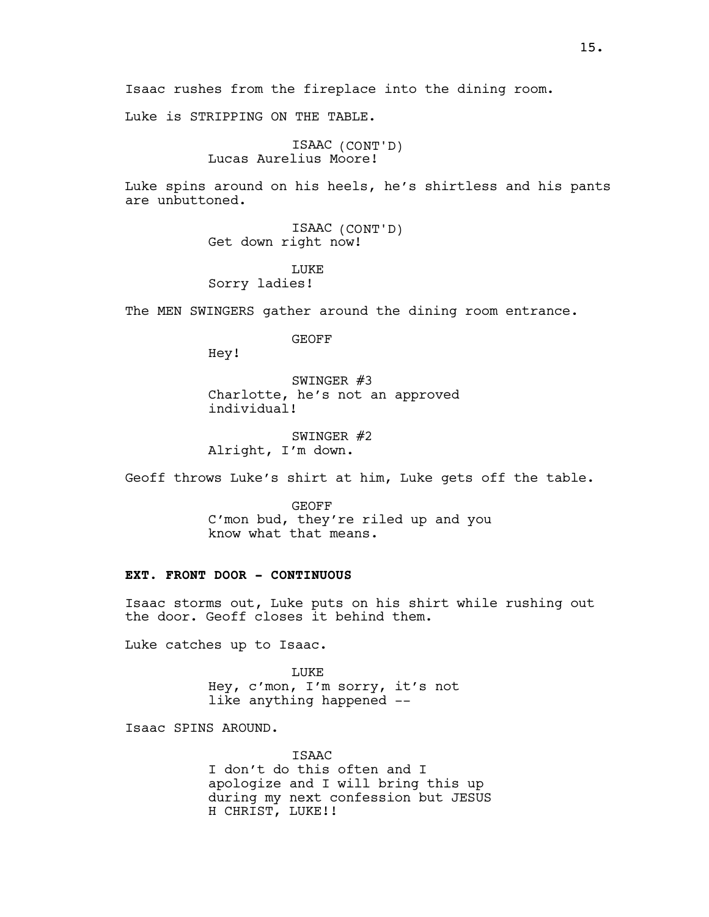Luke is STRIPPING ON THE TABLE.

ISAAC (CONT'D) Lucas Aurelius Moore!

Luke spins around on his heels, he's shirtless and his pants are unbuttoned.

> ISAAC (CONT'D) Get down right now!

LUKE Sorry ladies!

The MEN SWINGERS gather around the dining room entrance.

GEOFF

Hey!

SWINGER #3 Charlotte, he's not an approved individual!

SWINGER #2 Alright, I'm down.

Geoff throws Luke's shirt at him, Luke gets off the table.

GEOFF C'mon bud, they're riled up and you know what that means.

### EXT. FRONT DOOR - CONTINUOUS

Isaac storms out, Luke puts on his shirt while rushing out the door. Geoff closes it behind them.

Luke catches up to Isaac.

LUKE Hey, c'mon, I'm sorry, it's not like anything happened --

Isaac SPINS AROUND.

**TSAAC** I don't do this often and I apologize and I will bring this up during my next confession but JESUS H CHRIST, LUKE!!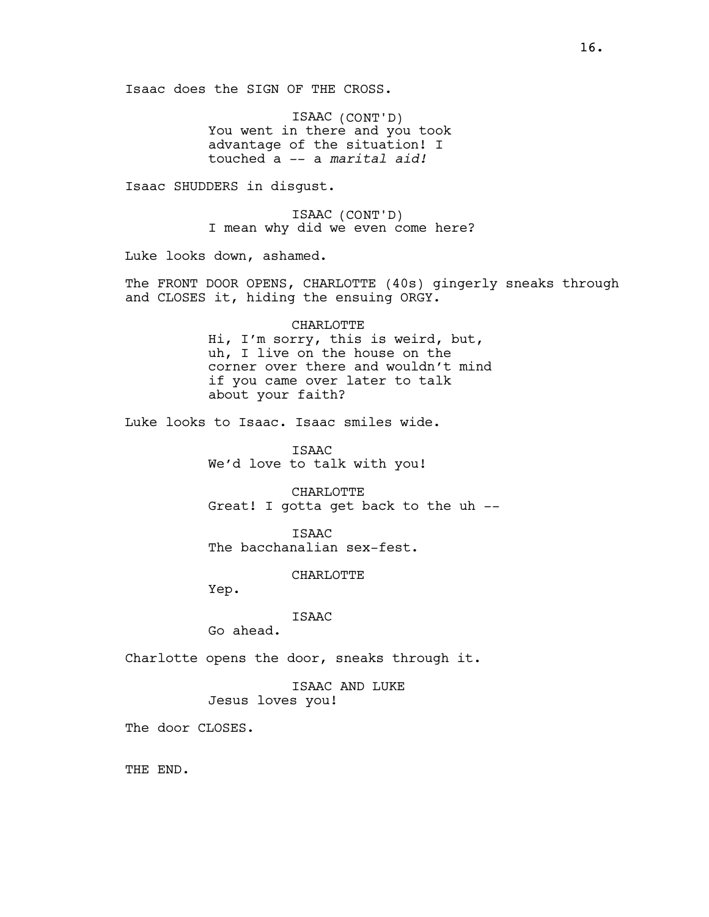Isaac does the SIGN OF THE CROSS.

ISAAC (CONT'D) You went in there and you took advantage of the situation! I touched a -- a marital aid!

Isaac SHUDDERS in disgust.

ISAAC (CONT'D) I mean why did we even come here?

Luke looks down, ashamed.

The FRONT DOOR OPENS, CHARLOTTE (40s) gingerly sneaks through and CLOSES it, hiding the ensuing ORGY.

> CHARLOTTE Hi, I'm sorry, this is weird, but, uh, I live on the house on the corner over there and wouldn't mind if you came over later to talk about your faith?

Luke looks to Isaac. Isaac smiles wide.

ISAAC We'd love to talk with you!

CHARLOTTE Great! I gotta get back to the uh --

ISAAC The bacchanalian sex-fest.

CHARLOTTE

Yep.

#### ISAAC

Go ahead.

Charlotte opens the door, sneaks through it.

ISAAC AND LUKE Jesus loves you!

The door CLOSES.

THE END.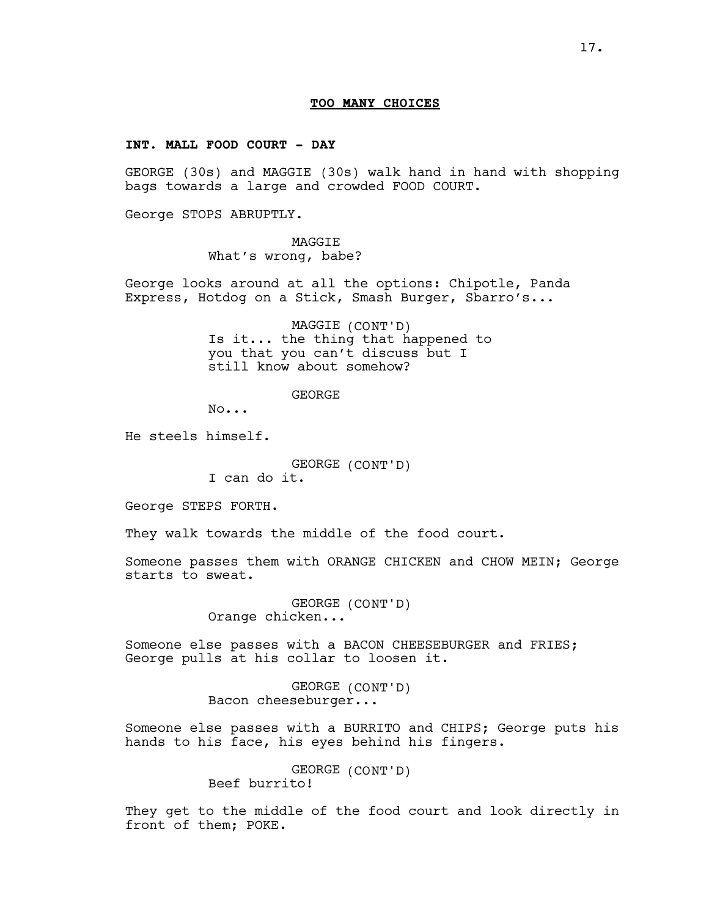### TOO MANY CHOICES

#### INT. MALL FOOD COURT - DAY

GEORGE (30s) and MAGGIE (30s) walk hand in hand with shopping bags towards a large and crowded FOOD COURT.

George STOPS ABRUPTLY.

MAGGIE What's wrong, babe?

George looks around at all the options: Chipotle, Panda Express, Hotdog on a Stick, Smash Burger, Sbarro's...

> MAGGIE (CONT'D) Is it... the thing that happened to you that you can't discuss but I still know about somehow?

> > GEORGE

No...

He steels himself.

GEORGE (CONT'D) I can do it.

George STEPS FORTH.

They walk towards the middle of the food court.

Someone passes them with ORANGE CHICKEN and CHOW MEIN; George starts to sweat.

> GEORGE (CONT'D) Orange chicken...

Someone else passes with a BACON CHEESEBURGER and FRIES; George pulls at his collar to loosen it.

> GEORGE (CONT'D) Bacon cheeseburger...

Someone else passes with a BURRITO and CHIPS; George puts his hands to his face, his eyes behind his fingers.

> GEORGE (CONT'D) Beef burrito!

They get to the middle of the food court and look directly in front of them; POKE.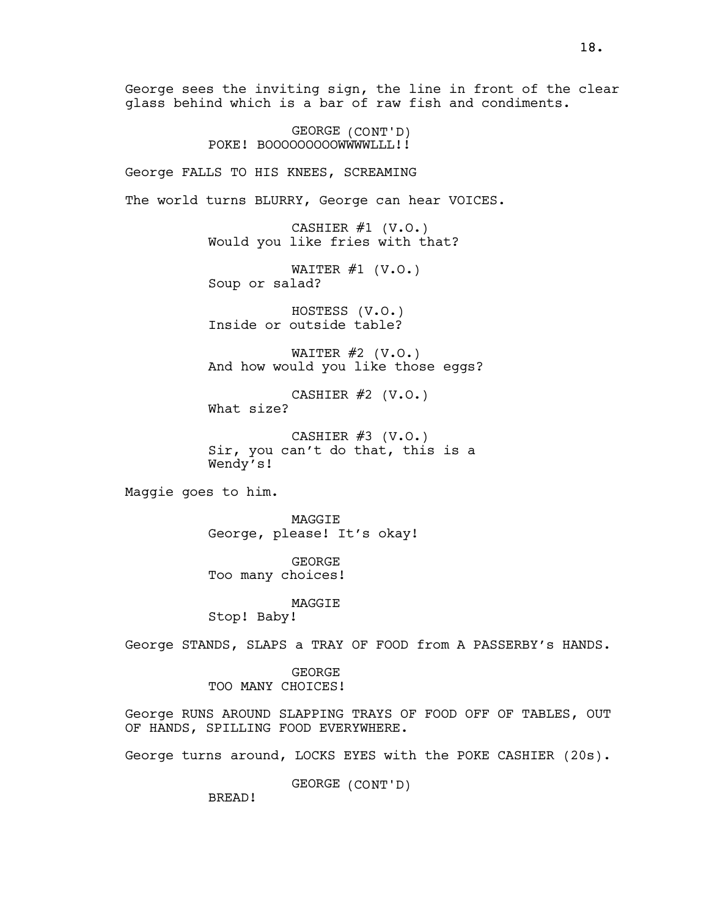George sees the inviting sign, the line in front of the clear glass behind which is a bar of raw fish and condiments.

> GEORGE (CONT'D) POKE! BOOOOOOOOOWWWWLLL!!

George FALLS TO HIS KNEES, SCREAMING

The world turns BLURRY, George can hear VOICES.

CASHIER  $#1$  (V.O.) Would you like fries with that?

WAITER  $#1$  (V.O.) Soup or salad?

HOSTESS (V.O.) Inside or outside table?

WAITER  $#2$  (V.O.) And how would you like those eggs?

CASHIER  $#2$  (V.O.) What size?

CASHIER  $#3$  (V.O.) Sir, you can't do that, this is a Wendy's!

Maggie goes to him.

MAGGIE George, please! It's okay!

GEORGE Too many choices!

MAGGIE

Stop! Baby!

George STANDS, SLAPS a TRAY OF FOOD from A PASSERBY's HANDS.

GEORGE TOO MANY CHOICES!

George RUNS AROUND SLAPPING TRAYS OF FOOD OFF OF TABLES, OUT OF HANDS, SPILLING FOOD EVERYWHERE.

George turns around, LOCKS EYES with the POKE CASHIER (20s).

GEORGE (CONT'D)

BREAD!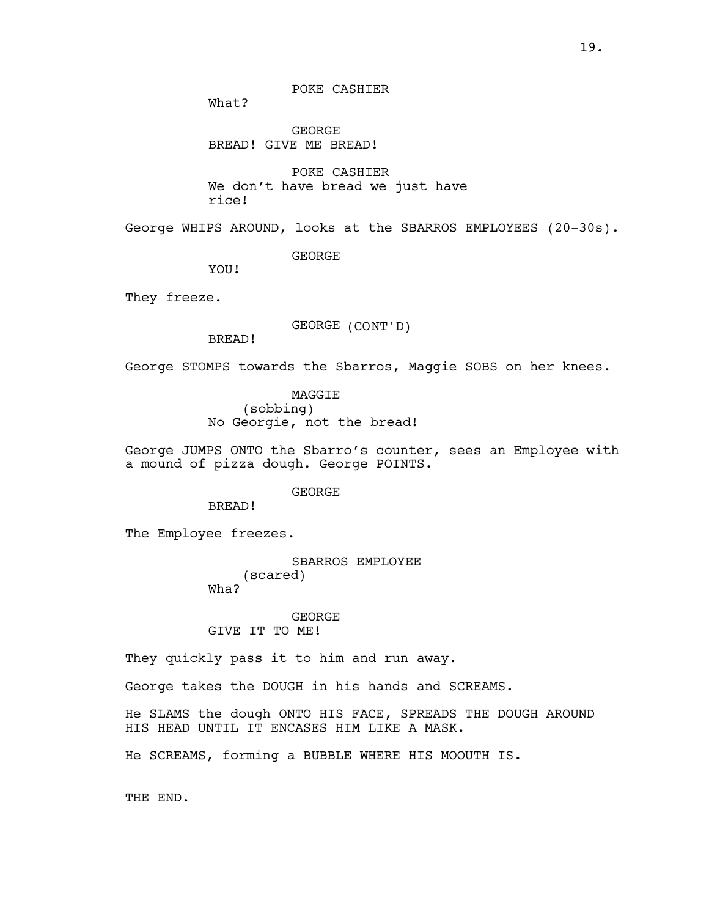What?

GEORGE BREAD! GIVE ME BREAD!

POKE CASHIER We don't have bread we just have rice!

George WHIPS AROUND, looks at the SBARROS EMPLOYEES (20-30s).

GEORGE

YOU!

They freeze.

GEORGE (CONT'D)

BREAD!

George STOMPS towards the Sbarros, Maggie SOBS on her knees.

MAGGIE (sobbing) No Georgie, not the bread!

George JUMPS ONTO the Sbarro's counter, sees an Employee with a mound of pizza dough. George POINTS.

GEORGE

BREAD!

The Employee freezes.

SBARROS EMPLOYEE (scared)

Wha?

GEORGE GIVE IT TO ME!

They quickly pass it to him and run away.

George takes the DOUGH in his hands and SCREAMS.

He SLAMS the dough ONTO HIS FACE, SPREADS THE DOUGH AROUND HIS HEAD UNTIL IT ENCASES HIM LIKE A MASK.

He SCREAMS, forming a BUBBLE WHERE HIS MOOUTH IS.

THE END.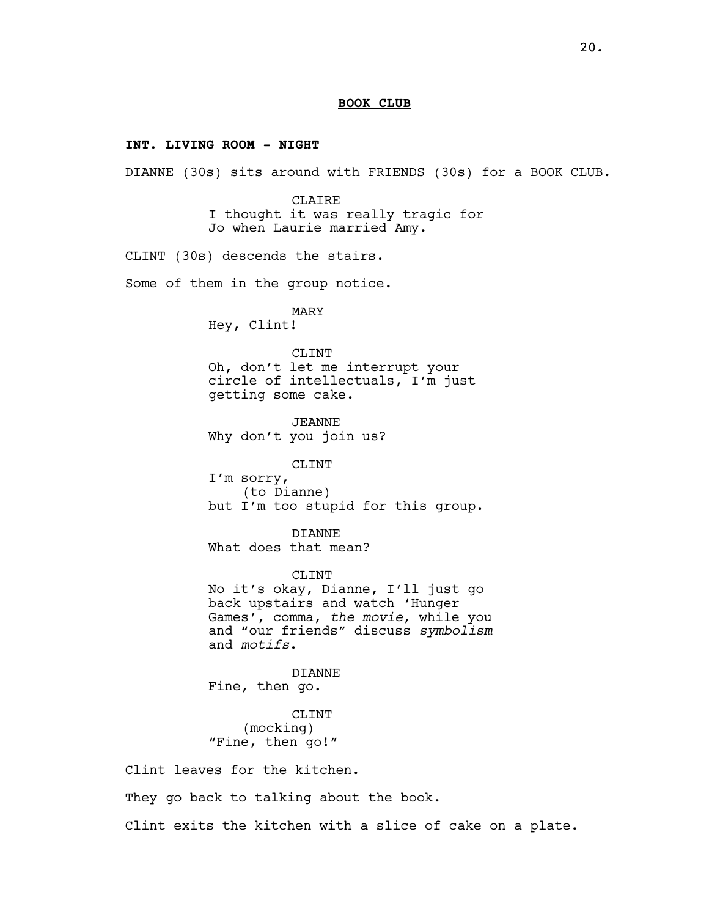### BOOK CLUB

#### INT. LIVING ROOM - NIGHT

DIANNE (30s) sits around with FRIENDS (30s) for a BOOK CLUB.

CLAIRE I thought it was really tragic for Jo when Laurie married Amy.

CLINT (30s) descends the stairs.

Some of them in the group notice.

MARY

Hey, Clint!

### CLINT

Oh, don't let me interrupt your circle of intellectuals, I'm just getting some cake.

JEANNE Why don't you join us?

CLINT

I'm sorry, (to Dianne) but I'm too stupid for this group.

DIANNE What does that mean?

CLINT No it's okay, Dianne, I'll just go back upstairs and watch 'Hunger Games', comma, the movie, while you and "our friends" discuss symbolism and motifs.

DIANNE Fine, then go.

CLINT (mocking) "Fine, then go!"

Clint leaves for the kitchen. They go back to talking about the book. Clint exits the kitchen with a slice of cake on a plate.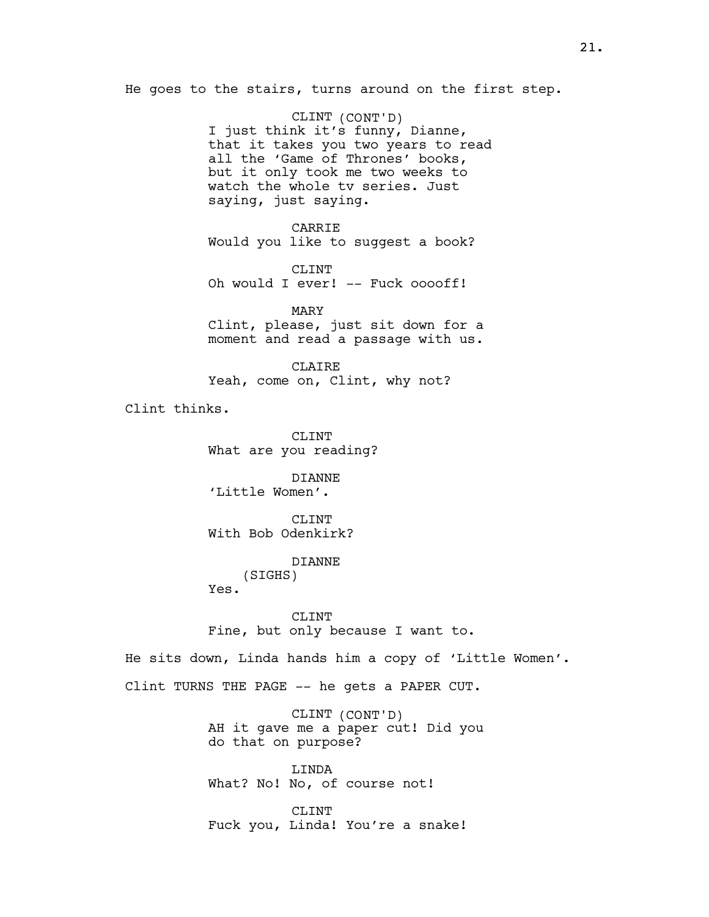He goes to the stairs, turns around on the first step.

CLINT (CONT'D) I just think it's funny, Dianne, that it takes you two years to read all the 'Game of Thrones' books, but it only took me two weeks to watch the whole tv series. Just saying, just saying.

CARRIE Would you like to suggest a book?

CLINT Oh would I ever! -- Fuck ooooff!

MARY Clint, please, just sit down for a moment and read a passage with us.

CLAIRE Yeah, come on, Clint, why not?

Clint thinks.

CLINT What are you reading?

DIANNE 'Little Women'.

CLINT With Bob Odenkirk?

DIANNE (SIGHS) Yes.

CLINT Fine, but only because I want to.

He sits down, Linda hands him a copy of 'Little Women'. Clint TURNS THE PAGE -- he gets a PAPER CUT.

> CLINT (CONT'D) AH it gave me a paper cut! Did you do that on purpose?

LINDA What? No! No, of course not!

CLINT Fuck you, Linda! You're a snake!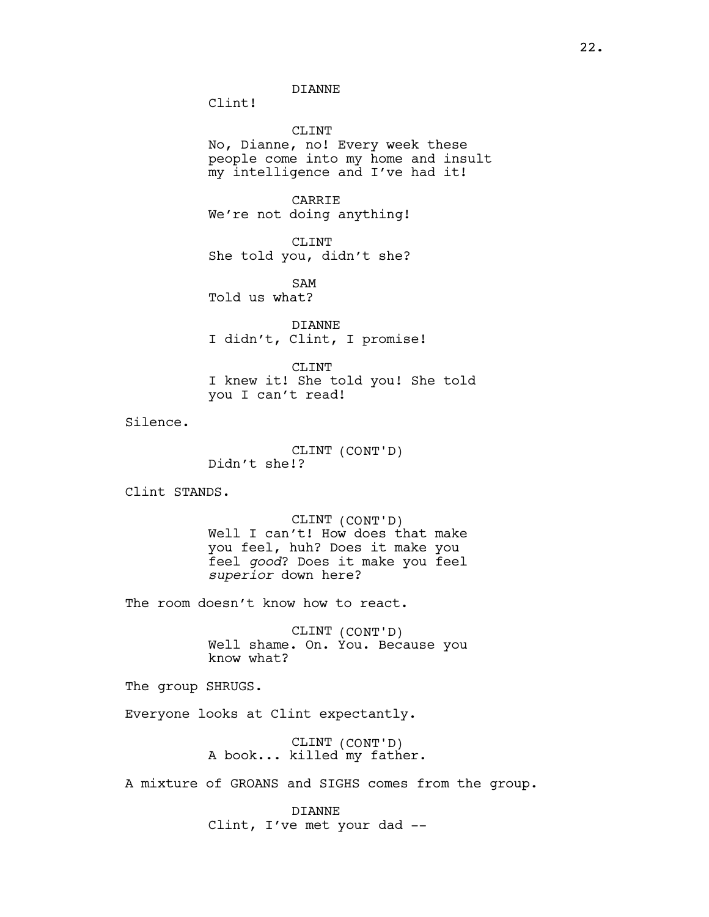DIANNE

Clint!

CLINT No, Dianne, no! Every week these people come into my home and insult my intelligence and I've had it!

CARRIE We're not doing anything!

CLINT She told you, didn't she?

SAM Told us what?

DIANNE I didn't, Clint, I promise!

CLINT I knew it! She told you! She told you I can't read!

Silence.

CLINT (CONT'D) Didn't she!?

Clint STANDS.

CLINT (CONT'D) Well I can't! How does that make you feel, huh? Does it make you feel good? Does it make you feel superior down here?

The room doesn't know how to react.

CLINT (CONT'D) Well shame. On. You. Because you know what?

The group SHRUGS.

Everyone looks at Clint expectantly.

CLINT (CONT'D) A book... killed my father.

A mixture of GROANS and SIGHS comes from the group.

DIANNE Clint, I've met your dad --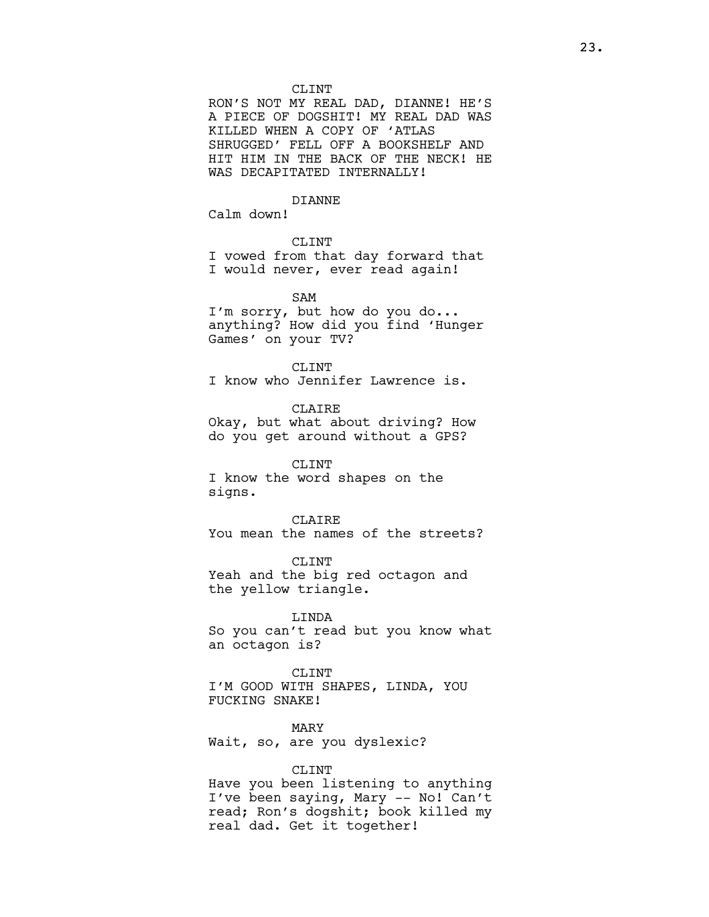#### CLINT

RON'S NOT MY REAL DAD, DIANNE! HE'S A PIECE OF DOGSHIT! MY REAL DAD WAS KILLED WHEN A COPY OF 'ATLAS SHRUGGED' FELL OFF A BOOKSHELF AND HIT HIM IN THE BACK OF THE NECK! HE WAS DECAPITATED INTERNALLY!

#### DIANNE

Calm down!

CLINT

I vowed from that day forward that I would never, ever read again!

SAM

I'm sorry, but how do you do... anything? How did you find 'Hunger Games' on your TV?

CLINT I know who Jennifer Lawrence is.

CLAIRE Okay, but what about driving? How do you get around without a GPS?

CLINT I know the word shapes on the signs.

CLAIRE You mean the names of the streets?

CLINT Yeah and the big red octagon and the yellow triangle.

LINDA So you can't read but you know what an octagon is?

CLINT I'M GOOD WITH SHAPES, LINDA, YOU FUCKING SNAKE!

MARY Wait, so, are you dyslexic?

CLINT

Have you been listening to anything I've been saying, Mary -- No! Can't read; Ron's dogshit; book killed my real dad. Get it together!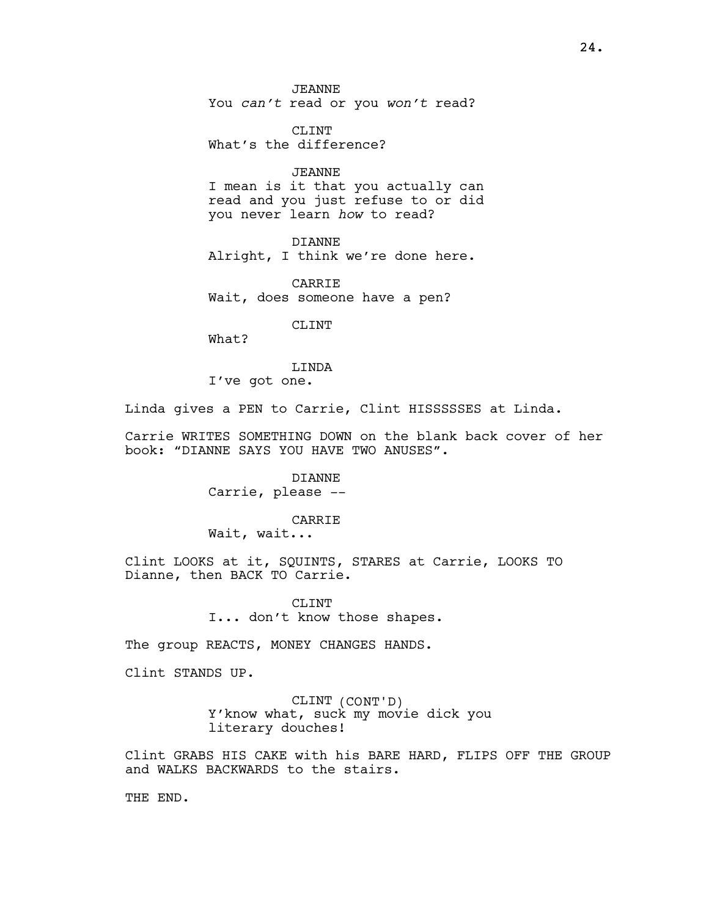JEANNE You can't read or you won't read?

CLINT What's the difference?

JEANNE

I mean is it that you actually can read and you just refuse to or did you never learn how to read?

DIANNE Alright, I think we're done here.

CARRIE Wait, does someone have a pen?

CLINT

What?

#### LINDA

I've got one.

Linda gives a PEN to Carrie, Clint HISSSSSES at Linda.

Carrie WRITES SOMETHING DOWN on the blank back cover of her book: "DIANNE SAYS YOU HAVE TWO ANUSES".

> DIANNE Carrie, please --

#### CARRIE

Wait, wait...

Clint LOOKS at it, SQUINTS, STARES at Carrie, LOOKS TO Dianne, then BACK TO Carrie.

> CLINT I... don't know those shapes.

The group REACTS, MONEY CHANGES HANDS.

Clint STANDS UP.

CLINT (CONT'D) Y'know what, suck my movie dick you literary douches!

Clint GRABS HIS CAKE with his BARE HARD, FLIPS OFF THE GROUP and WALKS BACKWARDS to the stairs.

THE END.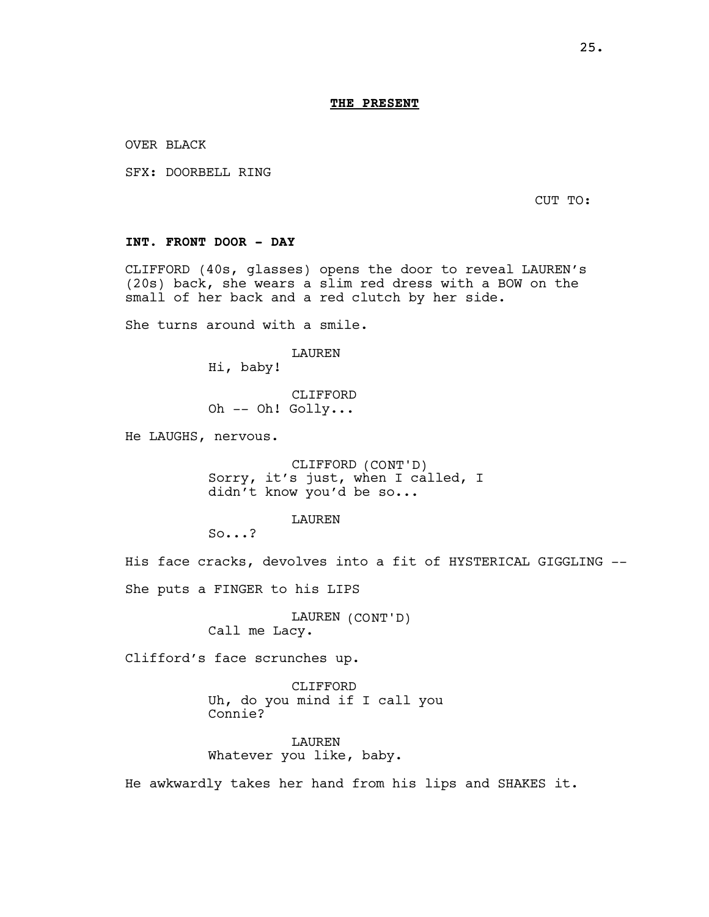### THE PRESENT

OVER BLACK

SFX: DOORBELL RING

CUT TO:

### INT. FRONT DOOR - DAY

CLIFFORD (40s, glasses) opens the door to reveal LAUREN's (20s) back, she wears a slim red dress with a BOW on the small of her back and a red clutch by her side.

She turns around with a smile.

#### LAUREN

Hi, baby!

CLIFFORD Oh -- Oh! Golly...

He LAUGHS, nervous.

CLIFFORD (CONT'D) Sorry, it's just, when I called, I didn't know you'd be so...

LAUREN

So...?

His face cracks, devolves into a fit of HYSTERICAL GIGGLING --

She puts a FINGER to his LIPS

LAUREN (CONT'D) Call me Lacy.

Clifford's face scrunches up.

CLIFFORD Uh, do you mind if I call you Connie?

LAUREN Whatever you like, baby.

He awkwardly takes her hand from his lips and SHAKES it.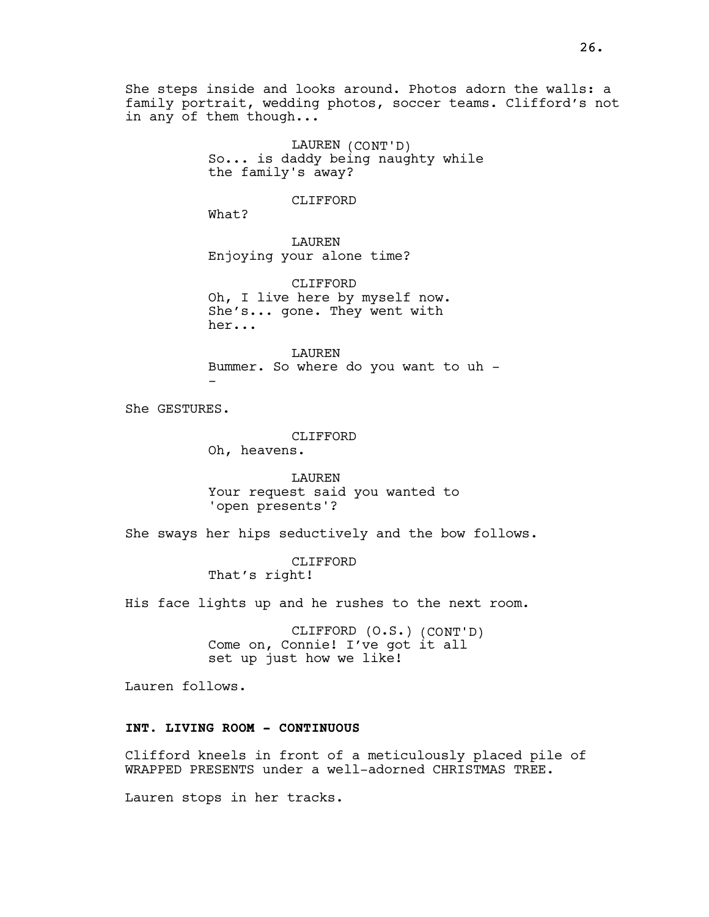She steps inside and looks around. Photos adorn the walls: a family portrait, wedding photos, soccer teams. Clifford's not in any of them though...

> LAUREN (CONT'D) So... is daddy being naughty while the family's away?

> > CLIFFORD

What?

LAUREN Enjoying your alone time?

CLIFFORD Oh, I live here by myself now. She's... gone. They went with her...

LAUREN Bummer. So where do you want to uh -

She GESTURES.

-

#### CLIFFORD

Oh, heavens.

LAUREN Your request said you wanted to 'open presents'?

She sways her hips seductively and the bow follows.

CLIFFORD That's right!

His face lights up and he rushes to the next room.

CLIFFORD (O.S.) (CONT'D) Come on, Connie! I've got it all set up just how we like!

Lauren follows.

### INT. LIVING ROOM - CONTINUOUS

Clifford kneels in front of a meticulously placed pile of WRAPPED PRESENTS under a well-adorned CHRISTMAS TREE.

Lauren stops in her tracks.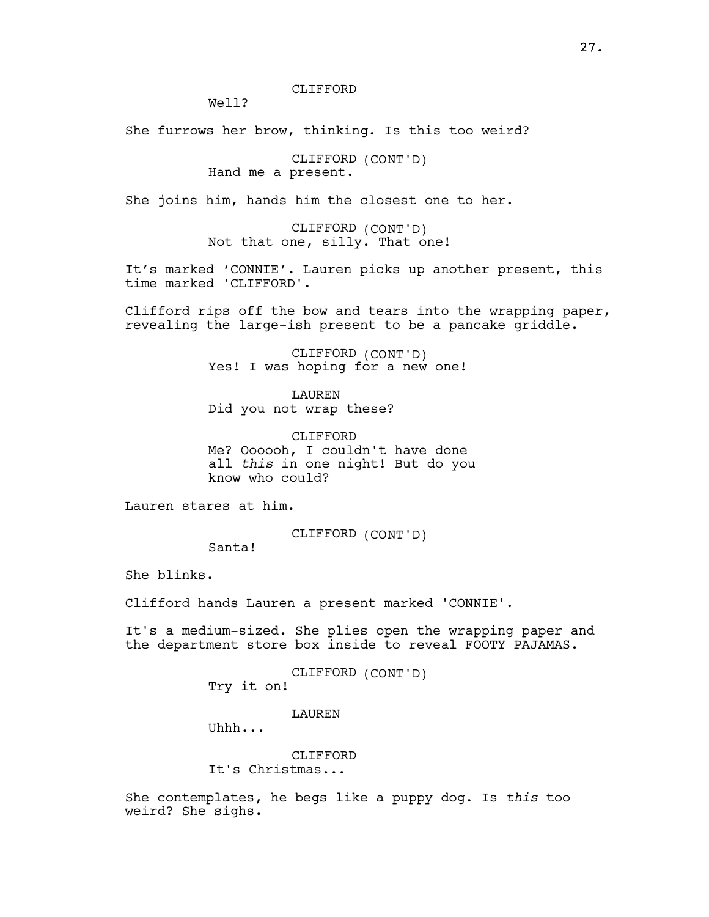### CLIFFORD

Well?

She furrows her brow, thinking. Is this too weird?

CLIFFORD (CONT'D) Hand me a present.

She joins him, hands him the closest one to her.

CLIFFORD (CONT'D) Not that one, silly. That one!

It's marked 'CONNIE'. Lauren picks up another present, this time marked 'CLIFFORD'.

Clifford rips off the bow and tears into the wrapping paper, revealing the large-ish present to be a pancake griddle.

> CLIFFORD (CONT'D) Yes! I was hoping for a new one!

LAUREN Did you not wrap these?

CLIFFORD Me? Oooooh, I couldn't have done all this in one night! But do you know who could?

Lauren stares at him.

CLIFFORD (CONT'D)

Santa!

She blinks.

Clifford hands Lauren a present marked 'CONNIE'.

It's a medium-sized. She plies open the wrapping paper and the department store box inside to reveal FOOTY PAJAMAS.

> CLIFFORD (CONT'D) Try it on!

> > LAUREN

Uhhh...

**CLIFFORD** It's Christmas...

She contemplates, he begs like a puppy dog. Is this too weird? She sighs.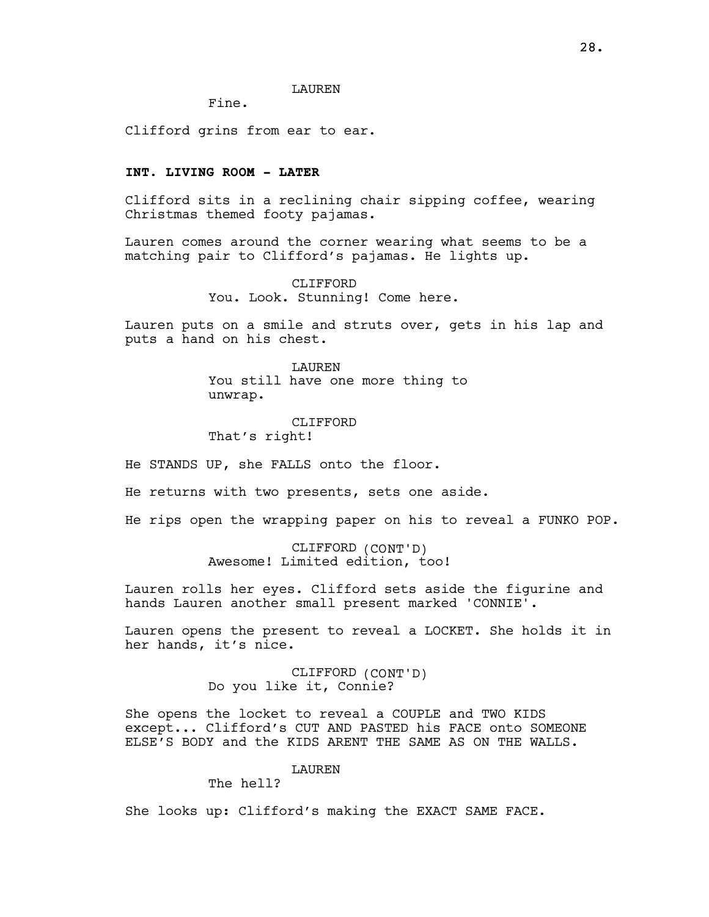#### LAUREN

Fine.

Clifford grins from ear to ear.

### INT. LIVING ROOM - LATER

Clifford sits in a reclining chair sipping coffee, wearing Christmas themed footy pajamas.

Lauren comes around the corner wearing what seems to be a matching pair to Clifford's pajamas. He lights up.

> CLIFFORD You. Look. Stunning! Come here.

Lauren puts on a smile and struts over, gets in his lap and puts a hand on his chest.

> LAUREN You still have one more thing to unwrap.

# CLIFFORD

That's right!

He STANDS UP, she FALLS onto the floor.

He returns with two presents, sets one aside.

He rips open the wrapping paper on his to reveal a FUNKO POP.

CLIFFORD (CONT'D) Awesome! Limited edition, too!

Lauren rolls her eyes. Clifford sets aside the figurine and hands Lauren another small present marked 'CONNIE'.

Lauren opens the present to reveal a LOCKET. She holds it in her hands, it's nice.

> CLIFFORD (CONT'D) Do you like it, Connie?

She opens the locket to reveal a COUPLE and TWO KIDS except... Clifford's CUT AND PASTED his FACE onto SOMEONE ELSE'S BODY and the KIDS ARENT THE SAME AS ON THE WALLS.

### LAUREN

The hell?

She looks up: Clifford's making the EXACT SAME FACE.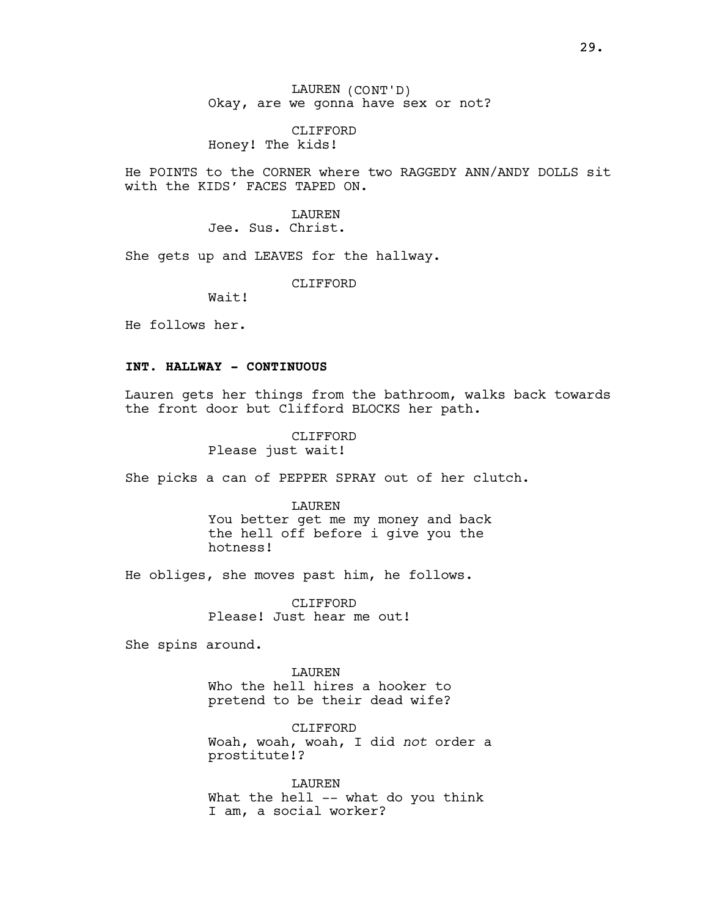### CLIFFORD Honey! The kids!

He POINTS to the CORNER where two RAGGEDY ANN/ANDY DOLLS sit with the KIDS' FACES TAPED ON.

### LAUREN Jee. Sus. Christ.

She gets up and LEAVES for the hallway.

CLIFFORD

Wait!

He follows her.

### INT. HALLWAY - CONTINUOUS

Lauren gets her things from the bathroom, walks back towards the front door but Clifford BLOCKS her path.

> CLIFFORD Please just wait!

She picks a can of PEPPER SPRAY out of her clutch.

### LAUREN

You better get me my money and back the hell off before i give you the hotness!

He obliges, she moves past him, he follows.

CLIFFORD Please! Just hear me out!

She spins around.

LAUREN Who the hell hires a hooker to pretend to be their dead wife?

CLIFFORD Woah, woah, woah, I did not order a prostitute!?

LAUREN What the hell -- what do you think I am, a social worker?